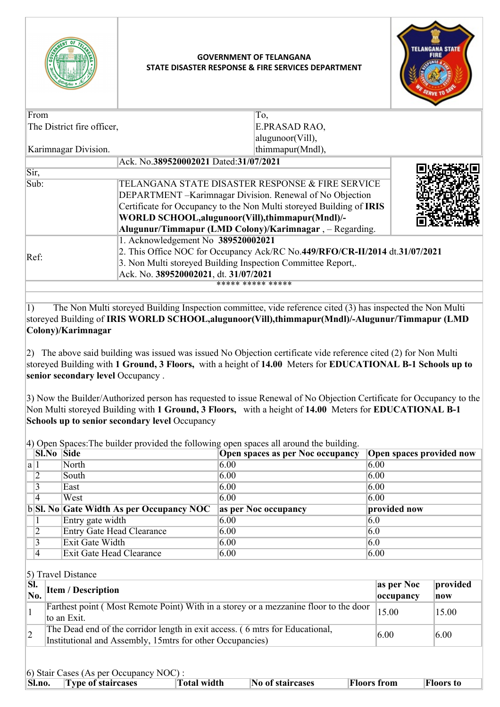

## **GOVERNMENT OF TELANGANA STATE DISASTER RESPONSE & FIRE SERVICES DEPARTMENT**

 $\overline{\mathbb{F}}$ .



|                                                                             | E.PRASAD RAO,              |                                                                                                                                                                                                                                                                                                                                                                                                                                                            |  |
|-----------------------------------------------------------------------------|----------------------------|------------------------------------------------------------------------------------------------------------------------------------------------------------------------------------------------------------------------------------------------------------------------------------------------------------------------------------------------------------------------------------------------------------------------------------------------------------|--|
|                                                                             | alugunoor(Vill),           |                                                                                                                                                                                                                                                                                                                                                                                                                                                            |  |
|                                                                             | thimmapur(Mndl),           |                                                                                                                                                                                                                                                                                                                                                                                                                                                            |  |
|                                                                             |                            |                                                                                                                                                                                                                                                                                                                                                                                                                                                            |  |
|                                                                             |                            |                                                                                                                                                                                                                                                                                                                                                                                                                                                            |  |
|                                                                             |                            |                                                                                                                                                                                                                                                                                                                                                                                                                                                            |  |
|                                                                             |                            |                                                                                                                                                                                                                                                                                                                                                                                                                                                            |  |
|                                                                             |                            |                                                                                                                                                                                                                                                                                                                                                                                                                                                            |  |
|                                                                             |                            |                                                                                                                                                                                                                                                                                                                                                                                                                                                            |  |
|                                                                             |                            |                                                                                                                                                                                                                                                                                                                                                                                                                                                            |  |
|                                                                             |                            |                                                                                                                                                                                                                                                                                                                                                                                                                                                            |  |
| 2. This Office NOC for Occupancy Ack/RC No.449/RFO/CR-II/2014 dt.31/07/2021 |                            |                                                                                                                                                                                                                                                                                                                                                                                                                                                            |  |
| 3. Non Multi storeyed Building Inspection Committee Report,.                |                            |                                                                                                                                                                                                                                                                                                                                                                                                                                                            |  |
|                                                                             |                            |                                                                                                                                                                                                                                                                                                                                                                                                                                                            |  |
|                                                                             |                            |                                                                                                                                                                                                                                                                                                                                                                                                                                                            |  |
|                                                                             | The District fire officer, | To,<br>Ack. No.389520002021 Dated:31/07/2021<br>TELANGANA STATE DISASTER RESPONSE & FIRE SERVICE<br>DEPARTMENT - Karimnagar Division. Renewal of No Objection<br>Certificate for Occupancy to the Non Multi storeyed Building of IRIS<br>WORLD SCHOOL, alugunoor (Vill), thimmapur (Mndl)/-<br>Alugunur/Timmapur (LMD Colony)/Karimnagar, - Regarding.<br>1. Acknowledgement No 389520002021<br>Ack. No. 389520002021, dt. 31/07/2021<br>***** ***** ***** |  |

1) The Non Multi storeyed Building Inspection committee, vide reference cited (3) has inspected the Non Multi storeyed Building of **IRIS WORLD SCHOOL,alugunoor(Vill),thimmapur(Mndl)/-Alugunur/Timmapur (LMD Colony)/Karimnagar**

2) The above said building was issued was issued No Objection certificate vide reference cited (2) for Non Multi storeyed Building with **1 Ground, 3 Floors,** with a height of **14.00** Meters for **EDUCATIONAL B-1 Schools up to senior secondary level** Occupancy .

3) Now the Builder/Authorized person has requested to issue Renewal of No Objection Certificate for Occupancy to the Non Multi storeyed Building with **1 Ground, 3 Floors,** with a height of **14.00** Meters for **EDUCATIONAL B-1 Schools up to senior secondary level** Occupancy

4) Open Spaces:The builder provided the following open spaces all around the building.

| <b>Sl.No Side</b> |                                              | <b>Open spaces as per Noc occupancy</b> | <b>Open spaces provided now</b> |
|-------------------|----------------------------------------------|-----------------------------------------|---------------------------------|
| a 1               | North                                        | 6.00                                    | 6.00                            |
|                   | South                                        | 6.00                                    | 6.00                            |
|                   | East                                         | 6.00                                    | 6.00                            |
|                   | West                                         | 6.00                                    | 6.00                            |
|                   |                                              |                                         |                                 |
|                   | $ b $ SI. No Gate Width As per Occupancy NOC | as per Noc occupancy                    | provided now                    |
|                   | Entry gate width                             | 6.00                                    | 6.0                             |
|                   | <b>Entry Gate Head Clearance</b>             | 6.00                                    | 6.0                             |
|                   | Exit Gate Width                              | 6.00                                    | 6.0                             |

## 5) Travel Distance

| $\overline{\mathbf{S}}$ . | as per Noc<br><b>Item / Description</b>                                              |           | provided |
|---------------------------|--------------------------------------------------------------------------------------|-----------|----------|
|                           |                                                                                      | occupancy | now      |
|                           | Farthest point (Most Remote Point) With in a storey or a mezzanine floor to the door | 15.00     | 15.00    |
|                           | to an Exit.                                                                          |           |          |
| $ 2 \>$                   | The Dead end of the corridor length in exit access. (6 mtrs for Educational,         | 6.00      | 6.00     |
|                           | Institutional and Assembly, 15 mtrs for other Occupancies)                           |           |          |
|                           |                                                                                      |           |          |
|                           |                                                                                      |           |          |

|  | 6) Stair Cases (As per Occupancy NOC) : |  |
|--|-----------------------------------------|--|
|  |                                         |  |

| $\overline{O}$ ) stan Cases (As per Occupancy NOC). |                           |              |                         |                    |                  |  |  |
|-----------------------------------------------------|---------------------------|--------------|-------------------------|--------------------|------------------|--|--|
| $\vert$ Sl.no.                                      | <b>Type of staircases</b> | 'Total width | <b>No of staircases</b> | <b>Floors from</b> | <b>Floors</b> to |  |  |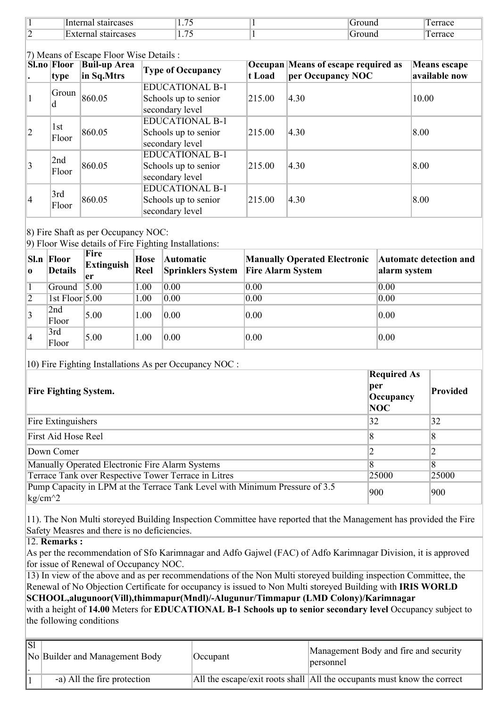|   | Intern<br>lcases<br>на<br>$\mathbf{a}$ | --<br><b>1.10</b> | t na | --<br>errace |
|---|----------------------------------------|-------------------|------|--------------|
| ► | $\blacksquare$<br>ırcases<br>·⊢v<br>на | --<br>.           | ΠС   | ௱<br>errace  |

| (7) Means of Escape Floor Wise Details :                              |              |                 |                        |                                            |                     |               |  |
|-----------------------------------------------------------------------|--------------|-----------------|------------------------|--------------------------------------------|---------------------|---------------|--|
| <b>Sl.no Floor</b><br><b>Buil-up Area</b><br><b>Type of Occupancy</b> |              |                 |                        | <b>Occupan Means of escape required as</b> | <b>Means escape</b> |               |  |
|                                                                       | type         | in Sq.Mtrs      |                        | t Load                                     | per Occupancy NOC   | available now |  |
|                                                                       | Groun        |                 | <b>EDUCATIONAL B-1</b> |                                            |                     |               |  |
|                                                                       |              | 860.05          | Schools up to senior   | 215.00                                     | 4.30                | 10.00         |  |
|                                                                       | d            |                 | secondary level        |                                            |                     |               |  |
|                                                                       | 1st<br>Floor | 860.05          | <b>EDUCATIONAL B-1</b> | 215.00                                     | 4.30                | 8.00          |  |
| 2                                                                     |              |                 | Schools up to senior   |                                            |                     |               |  |
|                                                                       |              |                 | secondary level        |                                            |                     |               |  |
|                                                                       | 2nd          | 860.05<br>Floor | <b>EDUCATIONAL B-1</b> |                                            |                     |               |  |
| $\vert$ 3                                                             |              |                 | Schools up to senior   | 215.00                                     | 4.30                | 8.00          |  |
|                                                                       |              |                 | secondary level        |                                            |                     |               |  |
|                                                                       | 3rd<br>Floor | 860.05          | <b>EDUCATIONAL B-1</b> |                                            |                     |               |  |
| 14                                                                    |              |                 | Schools up to senior   | 215.00                                     | 4.30                | 8.00          |  |
|                                                                       |              |                 | secondary level        |                                            |                     |               |  |

8) Fire Shaft as per Occupancy NOC:

9) Floor Wise details of Fire Fighting Installations:

| 0 I             | Sl.n Floor<br><b>Details</b> | Fire<br><b>Extinguish</b><br>er | Hose<br>Reel | <b>Automatic</b><br><b>Sprinklers System</b> | <b>Manually Operated Electronic</b><br><b>Fire Alarm System</b> | <b>Automatc detection and</b><br>alarm system |
|-----------------|------------------------------|---------------------------------|--------------|----------------------------------------------|-----------------------------------------------------------------|-----------------------------------------------|
|                 | Ground 5.00                  |                                 | 1.00         | 0.00                                         | 0.00                                                            | 0.00                                          |
| $\overline{2}$  | 1st Floor $5.00$             |                                 | 1.00         | 0.00                                         | 0.00                                                            | 0.00                                          |
| $\vert 3 \vert$ | 2nd<br>Floor                 | 5.00                            | 1.00         | 0.00                                         | 0.00                                                            | 0.00                                          |
| 14              | 3rd<br>Floor                 | 5.00                            | 1.00         | 0.00                                         | 0.00                                                            | 0.00                                          |

10) Fire Fighting Installations As per Occupancy NOC :

| <b>Fire Fighting System.</b>                                                                    | <b>Required As</b><br>per<br>Occupancy<br>NOC | Provided |
|-------------------------------------------------------------------------------------------------|-----------------------------------------------|----------|
| Fire Extinguishers                                                                              | 32                                            | 32       |
| First Aid Hose Reel                                                                             | 8                                             | 8        |
| Down Comer                                                                                      |                                               |          |
| Manually Operated Electronic Fire Alarm Systems                                                 | $\overline{8}$                                | 8        |
| Terrace Tank over Respective Tower Terrace in Litres                                            | 25000                                         | 25000    |
| Pump Capacity in LPM at the Terrace Tank Level with Minimum Pressure of 3.5<br>$\text{kg/cm}^2$ | 900                                           | 900      |

11). The Non Multi storeyed Building Inspection Committee have reported that the Management has provided the Fire Safety Measres and there is no deficiencies.

12. **Remarks :**

As per the recommendation of Sfo Karimnagar and Adfo Gajwel (FAC) of Adfo Karimnagar Division, it is approved for issue of Renewal of Occupancy NOC.

13) In view of the above and as per recommendations of the Non Multi storeyed building inspection Committee, the Renewal of No Objection Certificate for occupancy is issued to Non Multi storeyed Building with **IRIS WORLD SCHOOL,alugunoor(Vill),thimmapur(Mndl)/-Alugunur/Timmapur (LMD Colony)/Karimnagar**

with a height of **14.00** Meters for **EDUCATIONAL B-1 Schools up to senior secondary level** Occupancy subject to the following conditions

| $ \overline{S}$ | No Builder and Management Body | Occupant | Management Body and fire and security<br>personnel                       |
|-----------------|--------------------------------|----------|--------------------------------------------------------------------------|
|                 | -a) All the fire protection    |          | All the escape/exit roots shall  All the occupants must know the correct |